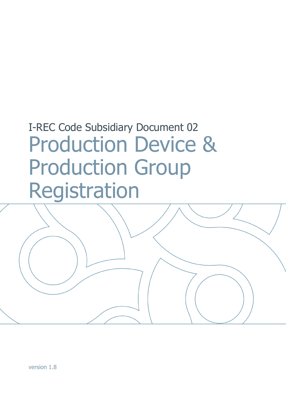# I-REC Code Subsidiary Document 02 Production Device & Production Group Registration

version 1.8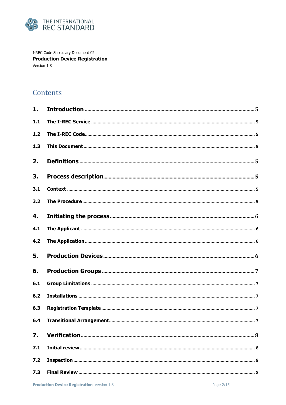

I-REC Code Subsidiary Document 02 **Production Device Registration** Version 1.8

# Contents

| 1.               |  |
|------------------|--|
| 1.1              |  |
| 1.2              |  |
| 1.3              |  |
| 2.               |  |
| 3.               |  |
| 3.1              |  |
| 3.2              |  |
| 4.               |  |
| 4.1              |  |
| 4.2              |  |
| 5.               |  |
| 6.               |  |
| 6.1              |  |
| 6.2              |  |
| 6.3              |  |
| 6.4              |  |
| $\overline{7}$ . |  |
| 7.1              |  |
| 7.2              |  |
| 7.3              |  |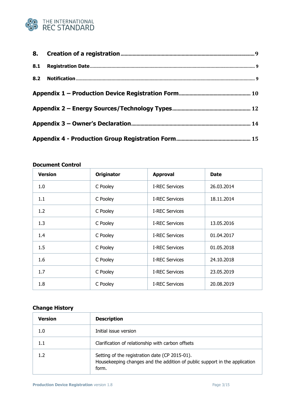

| <b>Version</b> | <b>Originator</b> | <b>Approval</b>       | <b>Date</b> |  |
|----------------|-------------------|-----------------------|-------------|--|
| 1.0            | C Pooley          | <b>I-REC Services</b> | 26.03.2014  |  |
| 1.1            | C Pooley          | <b>I-REC Services</b> | 18.11.2014  |  |
| 1.2            | C Pooley          | <b>I-REC Services</b> |             |  |
| 1.3            | C Pooley          | <b>I-REC Services</b> | 13.05.2016  |  |
| 1.4            | C Pooley          | <b>I-REC Services</b> | 01.04.2017  |  |
| 1.5            | C Pooley          | <b>I-REC Services</b> | 01.05.2018  |  |
| 1.6            | C Pooley          | <b>I-REC Services</b> | 24.10.2018  |  |
| 1.7            | C Pooley          | <b>I-REC Services</b> | 23.05.2019  |  |
| 1.8            | C Pooley          | <b>I-REC Services</b> | 20.08.2019  |  |

## **Document Control**

## **Change History**

| <b>Version</b> | <b>Description</b>                                                                                                                    |
|----------------|---------------------------------------------------------------------------------------------------------------------------------------|
| 1.0            | Initial issue version                                                                                                                 |
| 1.1            | Clarification of relationship with carbon offsets                                                                                     |
| 1.2            | Setting of the registration date (CP 2015-01).<br>Housekeeping changes and the addition of public support in the application<br>form. |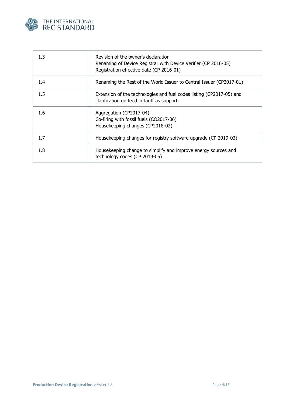

| 1.3 | Revision of the owner's declaration<br>Renaming of Device Registrar with Device Verifier (CP 2016-05)<br>Registration effective date (CP 2016-01) |
|-----|---------------------------------------------------------------------------------------------------------------------------------------------------|
| 1.4 | Renaming the Rest of the World Issuer to Central Issuer (CP2017-01)                                                                               |
| 1.5 | Extension of the technologies and fuel codes listing (CP2017-05) and<br>clarification on feed in tariff as support.                               |
| 1.6 | Aggregation (CP2017-04)<br>Co-firing with fossil fuels (CO2017-06)<br>Housekeeping changes (CP2018-02).                                           |
| 1.7 | Housekeeping changes for registry software upgrade (CP 2019-03)                                                                                   |
| 1.8 | Housekeeping change to simplify and improve energy sources and<br>technology codes (CP 2019-05)                                                   |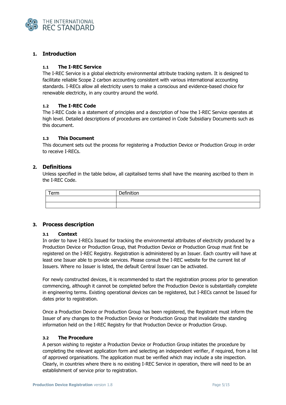

### <span id="page-4-0"></span>**1. Introduction**

#### <span id="page-4-1"></span>**1.1 The I-REC Service**

The I-REC Service is a global electricity environmental attribute tracking system. It is designed to facilitate reliable Scope 2 carbon accounting consistent with various international accounting standards. I-RECs allow all electricity users to make a conscious and evidence-based choice for renewable electricity, in any country around the world.

#### <span id="page-4-2"></span>**1.2 The I-REC Code**

The I-REC Code is a statement of principles and a description of how the I-REC Service operates at high level. Detailed descriptions of procedures are contained in Code Subsidiary Documents such as this document.

#### <span id="page-4-3"></span>**1.3 This Document**

This document sets out the process for registering a Production Device or Production Group in order to receive I-RECs.

#### <span id="page-4-4"></span>**2. Definitions**

Unless specified in the table below, all capitalised terms shall have the meaning ascribed to them in the I-REC Code.

| $T_{\text{atm}}$<br>ᄗ | nefinition<br>---<br>ю |
|-----------------------|------------------------|
|                       |                        |
|                       |                        |

#### <span id="page-4-6"></span><span id="page-4-5"></span>**3. Process description**

#### **3.1 Context**

In order to have I-RECs Issued for tracking the environmental attributes of electricity produced by a Production Device or Production Group, that Production Device or Production Group must first be registered on the I-REC Registry. Registration is administered by an Issuer. Each country will have at least one Issuer able to provide services. Please consult the I-REC website for the current list of Issuers. Where no Issuer is listed, the default Central Issuer can be activated.

For newly constructed devices, it is recommended to start the registration process prior to generation commencing, although it cannot be completed before the Production Device is substantially complete in engineering terms. Existing operational devices can be registered, but I-RECs cannot be Issued for dates prior to registration.

Once a Production Device or Production Group has been registered, the Registrant must inform the Issuer of any changes to the Production Device or Production Group that invalidate the standing information held on the I-REC Registry for that Production Device or Production Group.

#### <span id="page-4-7"></span>**3.2 The Procedure**

A person wishing to register a Production Device or Production Group initiates the procedure by completing the relevant application form and selecting an independent verifier, if required, from a list of approved organisations. The application must be verified which may include a site inspection. Clearly, in countries where there is no existing I-REC Service in operation, there will need to be an establishment of service prior to registration.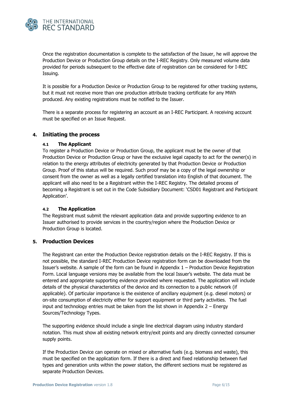

Once the registration documentation is complete to the satisfaction of the Issuer, he will approve the Production Device or Production Group details on the I-REC Registry. Only measured volume data provided for periods subsequent to the effective date of registration can be considered for I-REC Issuing.

It is possible for a Production Device or Production Group to be registered for other tracking systems, but it must not receive more than one production attribute tracking certificate for any MWh produced. Any existing registrations must be notified to the Issuer.

There is a separate process for registering an account as an I-REC Participant. A receiving account must be specified on an Issue Request.

#### <span id="page-5-1"></span><span id="page-5-0"></span>**4. Initiating the process**

#### **4.1 The Applicant**

To register a Production Device or Production Group, the applicant must be the owner of that Production Device or Production Group or have the exclusive legal capacity to act for the owner(s) in relation to the energy attributes of electricity generated by that Production Device or Production Group. Proof of this status will be required. Such proof may be a copy of the legal ownership or consent from the owner as well as a legally certified translation into English of that document. The applicant will also need to be a Registrant within the I-REC Registry. The detailed process of becoming a Registrant is set out in the Code Subsidiary Document: 'CSD01 Registrant and Participant Application'.

#### <span id="page-5-2"></span>**4.2 The Application**

The Registrant must submit the relevant application data and provide supporting evidence to an Issuer authorised to provide services in the country/region where the Production Device or Production Group is located.

#### <span id="page-5-3"></span>**5. Production Devices**

The Registrant can enter the Production Device registration details on the I-REC Registry. If this is not possible, the standard I-REC Production Device registration form can be downloaded from the Issuer's website. A sample of the form can be found in Appendix 1 – [Production Device Registration](#page-9-0)  [Form](#page-9-0). Local language versions may be available from the local Issuer's website. The data must be entered and appropriate supporting evidence provided where requested. The application will include details of the physical characteristics of the device and its connection to a public network (if applicable). Of particular importance is the existence of ancillary equipment (e.g. diesel motors) or on-site consumption of electricity either for support equipment or third party activities. The fuel input and technology entries must be taken from the list shown in [Appendix 2](#page-11-0) – Energy [Sources/Technology Types.](#page-11-0)

The supporting evidence should include a single line electrical diagram using industry standard notation. This must show all existing network entry/exit points and any directly connected consumer supply points.

If the Production Device can operate on mixed or alternative fuels (e.g. biomass and waste), this must be specified on the application form. If there is a direct and fixed relationship between fuel types and generation units within the power station, the different sections must be registered as separate Production Devices.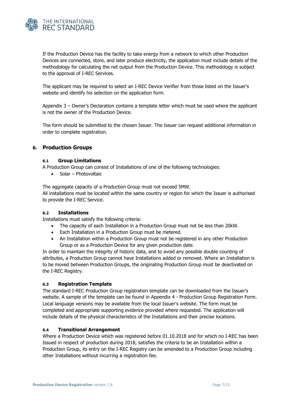

If the Production Device has the facility to take energy from a network to which other Production Devices are connected, store, and later produce electricity, the application must include details of the methodology for calculating the net output from the Production Device. This methodology is subject to the approval of I-REC Services.

The applicant may be required to select an I-REC Device Verifier from those listed on the Issuer's website and identify his selection on the application form.

Appendix 3 – [Owner's Declaration](#page-13-0) contains a template letter which must be used where the applicant is not the owner of the Production Device.

The form should be submitted to the chosen Issuer. The Issuer can request additional information in order to complete registration.

#### <span id="page-6-0"></span>**6. Production Groups**

#### <span id="page-6-1"></span>**6.1 Group Limitations**

A Production Group can consist of Installations of one of the following technologies:

• Solar – Photovoltaic

The aggregate capacity of a Production Group must not exceed 5MW.

All installations must be located within the same country or region for which the Issuer is authorised to provide the I-REC Service.

#### <span id="page-6-2"></span>**6.2 Installations**

Installations must satisfy the following criteria:

- The capacity of each Installation in a Production Group must not be less than 20kW.
- Each Installation in a Production Group must be metered.
- An Installation within a Production Group must not be registered in any other Production Group or as a Production Device for any given production date.

In order to maintain the integrity of historic data, and to avoid any possible double counting of attributes, a Production Group cannot have Installations added or removed. Where an Installation is to be moved between Production Groups, the originating Production Group must be deactivated on the I-REC Registry.

#### <span id="page-6-3"></span>**6.3 Registration Template**

The standard I-REC Production Group registration template can be downloaded from the Issuer's website. A sample of the template can be found in Appendix 4 - [Production Group Registration Form.](#page-14-0) Local language versions may be available from the local Issuer's website. The form must be completed and appropriate supporting evidence provided where requested. The application will include details of the physical characteristics of the Installations and their precise locations.

#### <span id="page-6-4"></span>**6.4 Transitional Arrangement**

Where a Production Device which was registered before 01.10.2018 and for which no I-REC has been Issued in respect of production during 2018, satisfies the criteria to be an Installation within a Production Group, its entry on the I-REC Registry can be amended to a Production Group including other Installations without incurring a registration fee.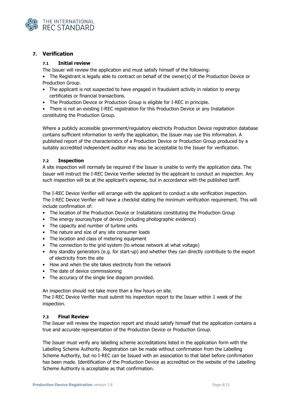

#### <span id="page-7-1"></span><span id="page-7-0"></span>**7. Verification**

#### **7.1 Initial review**

The Issuer will review the application and must satisfy himself of the following:

• The Registrant is legally able to contract on behalf of the owner(s) of the Production Device or Production Group.

- The applicant is not suspected to have engaged in fraudulent activity in relation to energy certificates or financial transactions.
- The Production Device or Production Group is eligible for I-REC in principle.

• There is not an existing I-REC registration for this Production Device or any Installation constituting the Production Group.

Where a publicly accessible government/regulatory electricity Production Device registration database contains sufficient information to verify the application, the Issuer may use this information. A published report of the characteristics of a Production Device or Production Group produced by a suitably accredited independent auditor may also be acceptable to the Issuer for verification.

#### <span id="page-7-2"></span>**7.2 Inspection**

A site inspection will normally be required if the Issuer is unable to verify the application data. The Issuer will instruct the I-REC Device Verifier selected by the applicant to conduct an inspection. Any such inspection will be at the applicant's expense, but in accordance with the published tariff.

The I-REC Device Verifier will arrange with the applicant to conduct a site verification inspection. The I-REC Device Verifier will have a checklist stating the minimum verification requirement. This will include confirmation of:

- The location of the Production Device or Installations constituting the Production Group
- The energy sources/type of device (including photographic evidence)
- The capacity and number of turbine units
- The nature and size of any site consumer loads
- The location and class of metering equipment
- The connection to the grid system (to whose network at what voltage)
- Any standby generators (e.g. for start-up) and whether they can directly contribute to the export of electricity from the site
- How and when the site takes electricity from the network
- The date of device commissioning
- The accuracy of the single line diagram provided.

An inspection should not take more than a few hours on site.

The I-REC Device Verifier must submit his inspection report to the Issuer within 1 week of the inspection.

#### <span id="page-7-3"></span>**7.3 Final Review**

The Issuer will review the inspection report and should satisfy himself that the application contains a true and accurate representation of the Production Device or Production Group.

The Issuer must verify any labelling scheme accreditations listed in the application form with the Labelling Scheme Authority. Registration can be made without confirmation from the Labelling Scheme Authority, but no I-REC can be Issued with an association to that label before confirmation has been made. Identification of the Production Device as accredited on the website of the Labelling Scheme Authority is acceptable as that confirmation.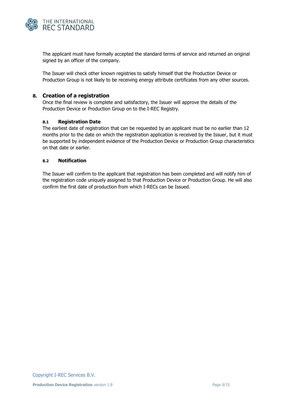

The applicant must have formally accepted the standard terms of service and returned an original signed by an officer of the company.

The Issuer will check other known registries to satisfy himself that the Production Device or Production Group is not likely to be receiving energy attribute certificates from any other sources.

#### <span id="page-8-0"></span>**8. Creation of a registration**

Once the final review is complete and satisfactory, the Issuer will approve the details of the Production Device or Production Group on to the I-REC Registry.

#### <span id="page-8-1"></span>**8.1 Registration Date**

The earliest date of registration that can be requested by an applicant must be no earlier than 12 months prior to the date on which the registration application is received by the Issuer, but it must be supported by independent evidence of the Production Device or Production Group characteristics on that date or earlier.

#### <span id="page-8-2"></span>**8.2 Notification**

The Issuer will confirm to the applicant that registration has been completed and will notify him of the registration code uniquely assigned to that Production Device or Production Group. He will also confirm the first date of production from which I-RECs can be Issued.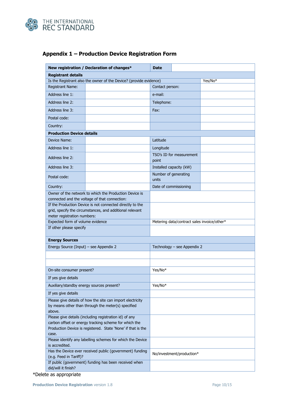

|                                                                                                                                                                                          | New registration / Declaration of changes*                                                              | <b>Date</b>                                 |                             |         |
|------------------------------------------------------------------------------------------------------------------------------------------------------------------------------------------|---------------------------------------------------------------------------------------------------------|---------------------------------------------|-----------------------------|---------|
| <b>Registrant details</b>                                                                                                                                                                |                                                                                                         |                                             |                             |         |
|                                                                                                                                                                                          | Is the Registrant also the owner of the Device? (provide evidence)                                      |                                             |                             | Yes/No* |
| <b>Registrant Name:</b>                                                                                                                                                                  |                                                                                                         | Contact person:                             |                             |         |
| Address line 1:                                                                                                                                                                          |                                                                                                         | e-mail:                                     |                             |         |
| Address line 2:                                                                                                                                                                          |                                                                                                         | Telephone:                                  |                             |         |
| Address line 3:                                                                                                                                                                          | Fax:                                                                                                    |                                             |                             |         |
| Postal code:                                                                                                                                                                             |                                                                                                         |                                             |                             |         |
| Country:                                                                                                                                                                                 |                                                                                                         |                                             |                             |         |
| <b>Production Device details</b>                                                                                                                                                         |                                                                                                         |                                             |                             |         |
| Device Name:                                                                                                                                                                             |                                                                                                         | Latitude                                    |                             |         |
| Address line 1:                                                                                                                                                                          |                                                                                                         | Longitude                                   |                             |         |
| Address line 2:                                                                                                                                                                          |                                                                                                         | point                                       | TSO's ID for measurement    |         |
| Address line 3:                                                                                                                                                                          |                                                                                                         |                                             | Installed capacity (kW)     |         |
| Postal code:                                                                                                                                                                             |                                                                                                         | Number of generating<br>units               |                             |         |
| Country:                                                                                                                                                                                 |                                                                                                         |                                             | Date of commissioning       |         |
|                                                                                                                                                                                          | Owner of the network to which the Production Device is<br>connected and the voltage of that connection: |                                             |                             |         |
| If the Production Device is not connected directly to the<br>grid, specify the circumstances, and additional relevant<br>meter registration numbers:                                     |                                                                                                         |                                             |                             |         |
| Expected form of volume evidence                                                                                                                                                         |                                                                                                         | Metering data/contract sales invoice/other* |                             |         |
| If other please specify                                                                                                                                                                  |                                                                                                         |                                             |                             |         |
| <b>Energy Sources</b>                                                                                                                                                                    |                                                                                                         |                                             |                             |         |
| Energy Source (Input) - see Appendix 2                                                                                                                                                   |                                                                                                         |                                             | Technology - see Appendix 2 |         |
|                                                                                                                                                                                          |                                                                                                         |                                             |                             |         |
|                                                                                                                                                                                          |                                                                                                         |                                             |                             |         |
| On-site consumer present?                                                                                                                                                                |                                                                                                         | Yes/No*                                     |                             |         |
| If yes give details                                                                                                                                                                      |                                                                                                         |                                             |                             |         |
| Auxiliary/standby energy sources present?                                                                                                                                                |                                                                                                         | Yes/No*                                     |                             |         |
| If yes give details                                                                                                                                                                      |                                                                                                         |                                             |                             |         |
| Please give details of how the site can import electricity<br>by means other than through the meter(s) specified<br>above.                                                               |                                                                                                         |                                             |                             |         |
| Please give details (including registration id) of any<br>carbon offset or energy tracking scheme for which the<br>Production Device is registered. State 'None' if that is the<br>case. |                                                                                                         |                                             |                             |         |
| Please identify any labelling schemes for which the Device<br>is accredited.                                                                                                             |                                                                                                         |                                             |                             |         |
| Has the Device ever received public (government) funding<br>(e.g. Feed in Tariff)?                                                                                                       | No/investment/production*                                                                               |                                             |                             |         |
| did/will it finish?                                                                                                                                                                      | If public (government) funding has been received when                                                   |                                             |                             |         |

# <span id="page-9-0"></span>**Appendix 1 – Production Device Registration Form**

\*Delete as appropriate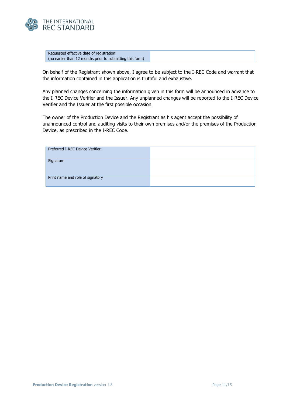

|  | Requested effective date of registration:                 |
|--|-----------------------------------------------------------|
|  | (no earlier than 12 months prior to submitting this form) |

On behalf of the Registrant shown above, I agree to be subject to the I-REC Code and warrant that the information contained in this application is truthful and exhaustive.

Any planned changes concerning the information given in this form will be announced in advance to the I-REC Device Verifier and the Issuer. Any unplanned changes will be reported to the I-REC Device Verifier and the Issuer at the first possible occasion.

The owner of the Production Device and the Registrant as his agent accept the possibility of unannounced control and auditing visits to their own premises and/or the premises of the Production Device, as prescribed in the I-REC Code.

| Preferred I-REC Device Verifier: |  |
|----------------------------------|--|
| Signature                        |  |
| Print name and role of signatory |  |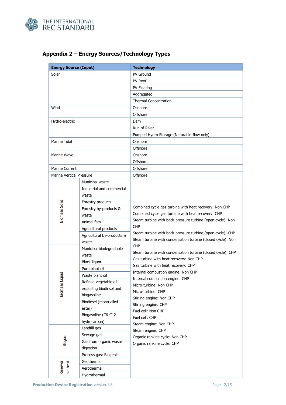

| <b>Energy Source (Input)</b>    |                            | <b>Technology</b>                                                                                                                      |  |  |  |  |
|---------------------------------|----------------------------|----------------------------------------------------------------------------------------------------------------------------------------|--|--|--|--|
| Solar                           |                            | <b>PV Ground</b>                                                                                                                       |  |  |  |  |
|                                 |                            | PV Roof                                                                                                                                |  |  |  |  |
|                                 |                            | PV Floating                                                                                                                            |  |  |  |  |
|                                 |                            | Aggregated                                                                                                                             |  |  |  |  |
|                                 |                            | <b>Thermal Concentration</b>                                                                                                           |  |  |  |  |
| Wind                            |                            | Onshore                                                                                                                                |  |  |  |  |
|                                 |                            | Offshore                                                                                                                               |  |  |  |  |
| Hydro-electric                  |                            | Dam                                                                                                                                    |  |  |  |  |
|                                 |                            | Run of River                                                                                                                           |  |  |  |  |
|                                 |                            | Pumped Hydro Storage (Natural in-flow only)                                                                                            |  |  |  |  |
| Marine Tidal                    |                            | Onshore                                                                                                                                |  |  |  |  |
|                                 |                            | Offshore                                                                                                                               |  |  |  |  |
| Marine Wave                     |                            | Onshore                                                                                                                                |  |  |  |  |
|                                 |                            | Offshore                                                                                                                               |  |  |  |  |
| <b>Marine Current</b>           |                            | Offshore                                                                                                                               |  |  |  |  |
| <b>Marine Vertical Pressure</b> |                            | Offshore                                                                                                                               |  |  |  |  |
|                                 | Municipal waste            |                                                                                                                                        |  |  |  |  |
|                                 | Industrial and commercial  |                                                                                                                                        |  |  |  |  |
|                                 | waste                      |                                                                                                                                        |  |  |  |  |
|                                 | Forestry products          |                                                                                                                                        |  |  |  |  |
| Biomass Solid                   | Forestry by-products &     | Combined cycle gas turbine with heat recovery: Non CHP                                                                                 |  |  |  |  |
|                                 | waste                      | Combined cycle gas turbine with heat recovery: CHP                                                                                     |  |  |  |  |
|                                 | Animal fats                | Steam turbine with back-pressure turbine (open cycle): Non<br><b>CHP</b><br>Steam turbine with back-pressure turbine (open cycle): CHP |  |  |  |  |
|                                 | Agricultural products      |                                                                                                                                        |  |  |  |  |
|                                 | Agricultural by-products & |                                                                                                                                        |  |  |  |  |
|                                 | waste                      | Steam turbine with condensation turbine (closed cycle): Non                                                                            |  |  |  |  |
|                                 | Municipal biodegradable    | <b>CHP</b>                                                                                                                             |  |  |  |  |
|                                 | waste                      | Steam turbine with condensation turbine (closed cycle): CHP                                                                            |  |  |  |  |
|                                 | <b>Black liquor</b>        | Gas turbine with heat recovery: Non CHP                                                                                                |  |  |  |  |
|                                 | Pure plant oil             | Gas turbine with heat recovery: CHP                                                                                                    |  |  |  |  |
|                                 | Waste plant oil            | Internal combustion engine: Non CHP                                                                                                    |  |  |  |  |
|                                 | Refined vegetable oil      | Internal combustion engine: CHP                                                                                                        |  |  |  |  |
| <b>Biomass Liquid</b>           | excluding biodiesel and    | Micro-turbine: Non CHP<br>Micro-turbine: CHP                                                                                           |  |  |  |  |
|                                 | biogasoline                | Stirling engine: Non CHP                                                                                                               |  |  |  |  |
|                                 | Biodiesel (mono-alkyl      | Stirling engine: CHP                                                                                                                   |  |  |  |  |
|                                 | ester)                     | Fuel cell: Non CHP                                                                                                                     |  |  |  |  |
|                                 | Biogasoline (C6-C12        | Fuel cell: CHP                                                                                                                         |  |  |  |  |
|                                 | hydrocarbon)               | Steam engine: Non CHP                                                                                                                  |  |  |  |  |
|                                 | Landfill gas               | Steam engine: CHP                                                                                                                      |  |  |  |  |
|                                 | Sewage gas                 | Organic rankine cycle: Non CHP                                                                                                         |  |  |  |  |
| <b>Biogas</b>                   | Gas from organic waste     | Organic rankine cycle: CHP                                                                                                             |  |  |  |  |
|                                 | digestion                  |                                                                                                                                        |  |  |  |  |
|                                 | Process gas: Biogenic      |                                                                                                                                        |  |  |  |  |
|                                 | Geothermal                 |                                                                                                                                        |  |  |  |  |
| ble heat<br>Renewa              | Aerothermal                |                                                                                                                                        |  |  |  |  |
|                                 | Hydrothermal               |                                                                                                                                        |  |  |  |  |

# <span id="page-11-0"></span>**Appendix 2 – Energy Sources/Technology Types**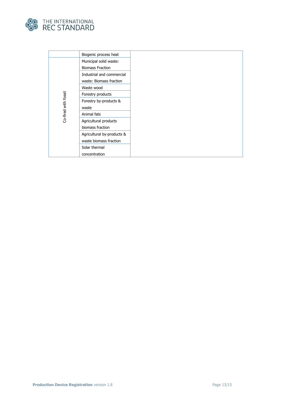

|                      | Biogenic process heat      |
|----------------------|----------------------------|
|                      | Municipal solid waste:     |
|                      | <b>Biomass Fraction</b>    |
|                      | Industrial and commercial  |
|                      | waste: Biomass fraction    |
|                      | Waste wood                 |
|                      | Forestry products          |
|                      | Forestry by-products &     |
|                      | waste                      |
| Co-fired with fossil | Animal fats                |
|                      | Agricultural products      |
|                      | biomass fraction           |
|                      | Agricultural by-products & |
|                      | waste biomass fraction     |
|                      | Solar thermal              |
|                      | concentration              |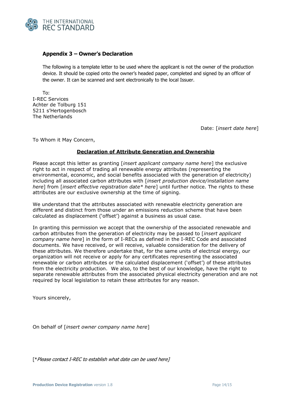

#### <span id="page-13-0"></span>**Appendix 3 – Owner's Declaration**

The following is a template letter to be used where the applicant is not the owner of the production device. It should be copied onto the owner's headed paper, completed and signed by an officer of the owner. It can be scanned and sent electronically to the local Issuer.

To: I-REC Services Achter de Tolburg 151 5211 s'Hertogenbosch The Netherlands

Date: [*insert date here*]

To Whom it May Concern,

#### **Declaration of Attribute Generation and Ownership**

Please accept this letter as granting [*insert applicant company name here*] the exclusive right to act in respect of trading all renewable energy attributes (representing the environmental, economic, and social benefits associated with the generation of electricity) including all associated carbon attributes with [*insert production device/installation name here*] from [*insert effective registration date\* here*] until further notice. The rights to these attributes are our exclusive ownership at the time of signing.

We understand that the attributes associated with renewable electricity generation are different and distinct from those under an emissions reduction scheme that have been calculated as displacement ('offset') against a business as usual case.

In granting this permission we accept that the ownership of the associated renewable and carbon attributes from the generation of electricity may be passed to [*insert applicant company name here*] in the form of I-RECs as defined in the I-REC Code and associated documents. We have received, or will receive, valuable consideration for the delivery of these attributes. We therefore undertake that, for the same units of electrical energy, our organization will not receive or apply for any certificates representing the associated renewable or carbon attributes or the calculated displacement ('offset') of these attributes from the electricity production. We also, to the best of our knowledge, have the right to separate renewable attributes from the associated physical electricity generation and are not required by local legislation to retain these attributes for any reason.

Yours sincerely,

On behalf of [*insert owner company name here*]

[\*Please contact I-REC to establish what date can be used here]